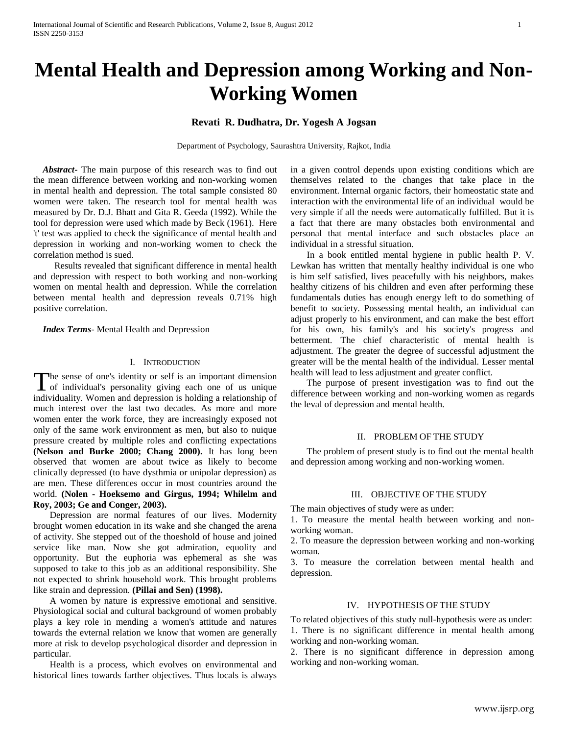# **Mental Health and Depression among Working and Non-Working Women**

# **Revati R. Dudhatra, Dr. Yogesh A Jogsan**

Department of Psychology, Saurashtra University, Rajkot, India

 *Abstract***-** The main purpose of this research was to find out the mean difference between working and non-working women in mental health and depression. The total sample consisted 80 women were taken. The research tool for mental health was measured by Dr. D.J. Bhatt and Gita R. Geeda (1992). While the tool for depression were used which made by Beck (1961). Here 't' test was applied to check the significance of mental health and depression in working and non-working women to check the correlation method is sued.

 Results revealed that significant difference in mental health and depression with respect to both working and non-working women on mental health and depression. While the correlation between mental health and depression reveals 0.71% high positive correlation.

 *Index Terms*- Mental Health and Depression

## I. INTRODUCTION

The sense of one's identity or self is an important dimension The sense of one's identity or self is an important dimension<br>of individual's personality giving each one of us unique individuality. Women and depression is holding a relationship of much interest over the last two decades. As more and more women enter the work force, they are increasingly exposed not only of the same work environment as men, but also to nuique pressure created by multiple roles and conflicting expectations **(Nelson and Burke 2000; Chang 2000).** It has long been observed that women are about twice as likely to become clinically depressed (to have dysthmia or unipolar depression) as are men. These differences occur in most countries around the world. **(Nolen - Hoeksemo and Girgus, 1994; Whilelm and Roy, 2003; Ge and Conger, 2003).** 

 Depression are normal features of our lives. Modernity brought women education in its wake and she changed the arena of activity. She stepped out of the thoeshold of house and joined service like man. Now she got admiration, equolity and opportunity. But the euphoria was ephemeral as she was supposed to take to this job as an additional responsibility. She not expected to shrink household work. This brought problems like strain and depression. **(Pillai and Sen) (1998).**

 A women by nature is expressive emotional and sensitive. Physiological social and cultural background of women probably plays a key role in mending a women's attitude and natures towards the evternal relation we know that women are generally more at risk to develop psychological disorder and depression in particular.

 Health is a process, which evolves on environmental and historical lines towards farther objectives. Thus locals is always

in a given control depends upon existing conditions which are themselves related to the changes that take place in the environment. Internal organic factors, their homeostatic state and interaction with the environmental life of an individual would be very simple if all the needs were automatically fulfilled. But it is a fact that there are many obstacles both environmental and personal that mental interface and such obstacles place an individual in a stressful situation.

 In a book entitled mental hygiene in public health P. V. Lewkan has written that mentally healthy individual is one who is him self satisfied, lives peacefully with his neighbors, makes healthy citizens of his children and even after performing these fundamentals duties has enough energy left to do something of benefit to society. Possessing mental health, an individual can adjust properly to his environment, and can make the best effort for his own, his family's and his society's progress and betterment. The chief characteristic of mental health is adjustment. The greater the degree of successful adjustment the greater will be the mental health of the individual. Lesser mental health will lead to less adjustment and greater conflict.

 The purpose of present investigation was to find out the difference between working and non-working women as regards the leval of depression and mental health.

#### II. PROBLEM OF THE STUDY

 The problem of present study is to find out the mental health and depression among working and non-working women.

#### III. OBJECTIVE OF THE STUDY

The main objectives of study were as under:

1. To measure the mental health between working and nonworking woman.

2. To measure the depression between working and non-working woman.

3. To measure the correlation between mental health and depression.

### IV. HYPOTHESIS OF THE STUDY

To related objectives of this study null-hypothesis were as under: 1. There is no significant difference in mental health among working and non-working woman.

2. There is no significant difference in depression among working and non-working woman.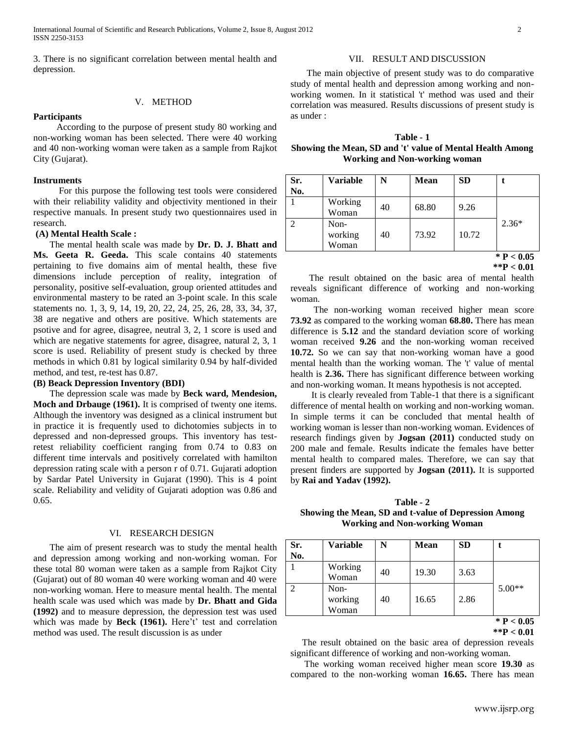3. There is no significant correlation between mental health and depression.

## V. METHOD

#### **Participants**

 According to the purpose of present study 80 working and non-working woman has been selected. There were 40 working and 40 non-working woman were taken as a sample from Rajkot City (Gujarat).

#### **Instruments**

 For this purpose the following test tools were considered with their reliability validity and objectivity mentioned in their respective manuals. In present study two questionnaires used in research.

## **(A) Mental Health Scale :**

 The mental health scale was made by **Dr. D. J. Bhatt and Ms. Geeta R. Geeda.** This scale contains 40 statements pertaining to five domains aim of mental health, these five dimensions include perception of reality, integration of personality, positive self-evaluation, group oriented attitudes and environmental mastery to be rated an 3-point scale. In this scale statements no. 1, 3, 9, 14, 19, 20, 22, 24, 25, 26, 28, 33, 34, 37, 38 are negative and others are positive. Which statements are psotive and for agree, disagree, neutral 3, 2, 1 score is used and which are negative statements for agree, disagree, natural 2, 3, 1 score is used. Reliability of present study is checked by three methods in which 0.81 by logical similarity 0.94 by half-divided method, and test, re-test has 0.87.

#### **(B) Beack Depression Inventory (BDI)**

 The depression scale was made by **Beck ward, Mendesion, Moch and Drbauge (1961).** It is comprised of twenty one items. Although the inventory was designed as a clinical instrument but in practice it is frequently used to dichotomies subjects in to depressed and non-depressed groups. This inventory has testretest reliability coefficient ranging from 0.74 to 0.83 on different time intervals and positively correlated with hamilton depression rating scale with a person r of 0.71. Gujarati adoption by Sardar Patel University in Gujarat (1990). This is 4 point scale. Reliability and velidity of Gujarati adoption was 0.86 and 0.65.

#### VI. RESEARCH DESIGN

 The aim of present research was to study the mental health and depression among working and non-working woman. For these total 80 woman were taken as a sample from Rajkot City (Gujarat) out of 80 woman 40 were working woman and 40 were non-working woman. Here to measure mental health. The mental health scale was used which was made by **Dr. Bhatt and Gida (1992)** and to measure depression, the depression test was used which was made by **Beck (1961).** Here't' test and correlation method was used. The result discussion is as under

#### VII. RESULT AND DISCUSSION

 The main objective of present study was to do comparative study of mental health and depression among working and nonworking women. In it statistical 't' method was used and their correlation was measured. Results discussions of present study is as under :

| Table - 1                                                 |
|-----------------------------------------------------------|
| Showing the Mean, SD and 't' value of Mental Health Among |
| <b>Working and Non-working woman</b>                      |

| Sr.<br>No.    | <b>Variable</b>          | N  | <b>Mean</b> | <b>SD</b> |              |
|---------------|--------------------------|----|-------------|-----------|--------------|
|               | Working<br>Woman         | 40 | 68.80       | 9.26      |              |
| $\mathcal{P}$ | Non-<br>working<br>Woman | 40 | 73.92       | 10.72     | $2.36*$      |
|               |                          |    |             |           | * $P < 0.05$ |

**<sup>\*\*</sup>P < 0.01**

 The result obtained on the basic area of mental health reveals significant difference of working and non-working woman.

 The non-working woman received higher mean score **73.92** as compared to the working woman **68.80.** There has mean difference is **5.12** and the standard deviation score of working woman received **9.26** and the non-working woman received **10.72.** So we can say that non-working woman have a good mental health than the working woman. The 't' value of mental health is **2.36.** There has significant difference between working and non-working woman. It means hypothesis is not accepted.

 It is clearly revealed from Table-1 that there is a significant difference of mental health on working and non-working woman. In simple terms it can be concluded that mental health of working woman is lesser than non-working woman. Evidences of research findings given by **Jogsan (2011)** conducted study on 200 male and female. Results indicate the females have better mental health to compared males. Therefore, we can say that present finders are supported by **Jogsan (2011).** It is supported by **Rai and Yadav (1992).** 

**Table - 2 Showing the Mean, SD and t-value of Depression Among Working and Non-working Woman**

| Working<br>19.30<br>3.63<br>40<br>Woman<br>$\overline{2}$<br>$5.00**$<br>Non-<br>working<br>16.65<br>2.86<br>40<br>Woman | Sr.<br>No. | <b>Variable</b> | N | <b>Mean</b> | <b>SD</b> |  |
|--------------------------------------------------------------------------------------------------------------------------|------------|-----------------|---|-------------|-----------|--|
|                                                                                                                          |            |                 |   |             |           |  |
|                                                                                                                          |            |                 |   |             |           |  |

**<sup>\*\*</sup>P < 0.01**

 The result obtained on the basic area of depression reveals significant difference of working and non-working woman.

 The working woman received higher mean score **19.30** as compared to the non-working woman **16.65.** There has mean